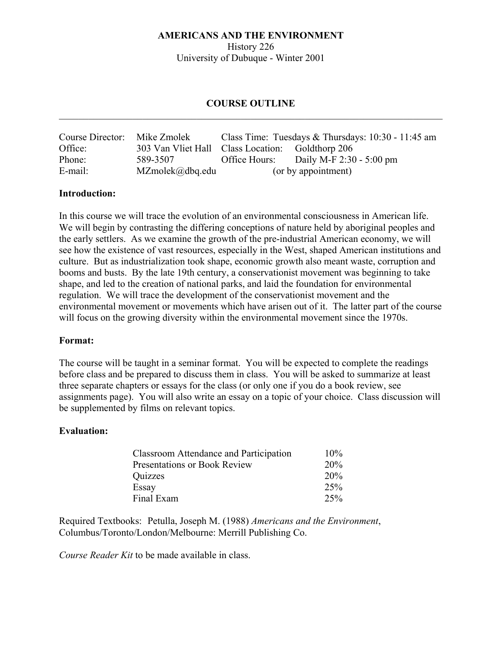History 226 University of Dubuque - Winter 2001

# **COURSE OUTLINE**   $\_$  , and the contribution of the contribution of  $\mathcal{L}_\mathcal{A}$  , and the contribution of  $\mathcal{L}_\mathcal{A}$

| Course Director: | Mike Zmolek                                      | Class Time: Tuesdays & Thursdays: $10:30 - 11:45$ am |                          |
|------------------|--------------------------------------------------|------------------------------------------------------|--------------------------|
| Office:          | 303 Van Vliet Hall Class Location: Goldthorp 206 |                                                      |                          |
| Phone:           | 589-3507                                         | Office Hours:                                        | Daily M-F 2:30 - 5:00 pm |
| E-mail:          | $MZmolek(\partial_d bq.edu)$                     | (or by appointment)                                  |                          |

## **Introduction:**

In this course we will trace the evolution of an environmental consciousness in American life. We will begin by contrasting the differing conceptions of nature held by aboriginal peoples and the early settlers. As we examine the growth of the pre-industrial American economy, we will see how the existence of vast resources, especially in the West, shaped American institutions and culture. But as industrialization took shape, economic growth also meant waste, corruption and booms and busts. By the late 19th century, a conservationist movement was beginning to take shape, and led to the creation of national parks, and laid the foundation for environmental regulation. We will trace the development of the conservationist movement and the environmental movement or movements which have arisen out of it. The latter part of the course will focus on the growing diversity within the environmental movement since the 1970s.

#### **Format:**

The course will be taught in a seminar format. You will be expected to complete the readings before class and be prepared to discuss them in class. You will be asked to summarize at least three separate chapters or essays for the class (or only one if you do a book review, see assignments page). You will also write an essay on a topic of your choice. Class discussion will be supplemented by films on relevant topics.

## **Evaluation:**

| Classroom Attendance and Participation | $10\%$ |
|----------------------------------------|--------|
| Presentations or Book Review           | 20%    |
| Quizzes                                | 20%    |
| Essay                                  | 25%    |
| Final Exam                             | 25%    |

Required Textbooks: Petulla, Joseph M. (1988) *Americans and the Environment*, Columbus/Toronto/London/Melbourne: Merrill Publishing Co.

*Course Reader Kit* to be made available in class.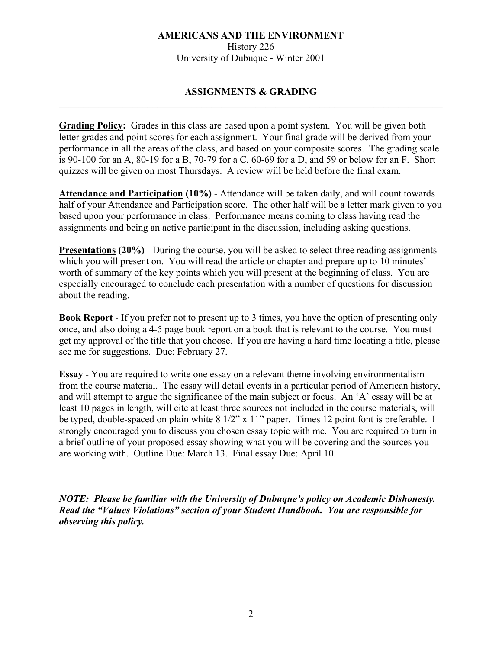History 226 University of Dubuque - Winter 2001

# **ASSIGNMENTS & GRADING**   $\_$  , and the contribution of the contribution of  $\mathcal{L}_\mathcal{A}$  , and the contribution of  $\mathcal{L}_\mathcal{A}$

**Grading Policy:** Grades in this class are based upon a point system. You will be given both letter grades and point scores for each assignment. Your final grade will be derived from your performance in all the areas of the class, and based on your composite scores. The grading scale is 90-100 for an A, 80-19 for a B, 70-79 for a C, 60-69 for a D, and 59 or below for an F. Short quizzes will be given on most Thursdays. A review will be held before the final exam.

**Attendance and Participation (10%)** - Attendance will be taken daily, and will count towards half of your Attendance and Participation score. The other half will be a letter mark given to you based upon your performance in class. Performance means coming to class having read the assignments and being an active participant in the discussion, including asking questions.

**Presentations (20%)** - During the course, you will be asked to select three reading assignments which you will present on. You will read the article or chapter and prepare up to 10 minutes' worth of summary of the key points which you will present at the beginning of class. You are especially encouraged to conclude each presentation with a number of questions for discussion about the reading.

**Book Report** - If you prefer not to present up to 3 times, you have the option of presenting only once, and also doing a 4-5 page book report on a book that is relevant to the course. You must get my approval of the title that you choose. If you are having a hard time locating a title, please see me for suggestions. Due: February 27.

**Essay** - You are required to write one essay on a relevant theme involving environmentalism from the course material. The essay will detail events in a particular period of American history, and will attempt to argue the significance of the main subject or focus. An 'A' essay will be at least 10 pages in length, will cite at least three sources not included in the course materials, will be typed, double-spaced on plain white 8 1/2" x 11" paper. Times 12 point font is preferable. I strongly encouraged you to discuss you chosen essay topic with me. You are required to turn in a brief outline of your proposed essay showing what you will be covering and the sources you are working with. Outline Due: March 13. Final essay Due: April 10.

*NOTE: Please be familiar with the University of Dubuque's policy on Academic Dishonesty. Read the "Values Violations" section of your Student Handbook. You are responsible for observing this policy.*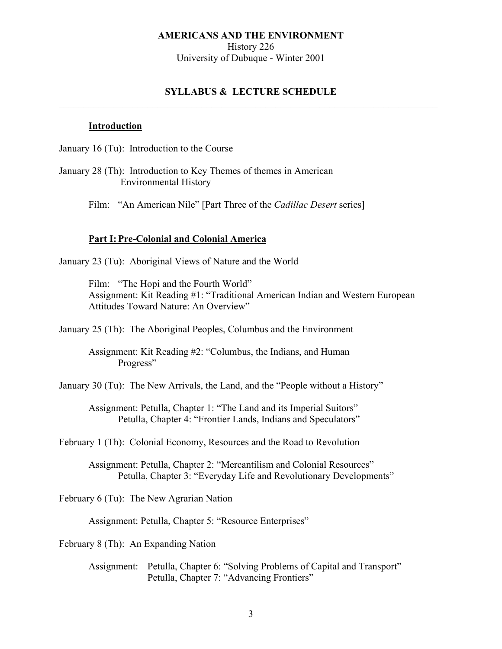History 226 University of Dubuque - Winter 2001

## **SYLLABUS & LECTURE SCHEDULE**   $\_$  , and the set of the set of the set of the set of the set of the set of the set of the set of the set of the set of the set of the set of the set of the set of the set of the set of the set of the set of the set of th

#### **Introduction**

January 16 (Tu): Introduction to the Course

January 28 (Th): Introduction to Key Themes of themes in American Environmental History

Film: "An American Nile" [Part Three of the *Cadillac Desert* series]

### **Part I: Pre-Colonial and Colonial America**

January 23 (Tu): Aboriginal Views of Nature and the World

Film: "The Hopi and the Fourth World" Assignment: Kit Reading #1: "Traditional American Indian and Western European Attitudes Toward Nature: An Overview"

January 25 (Th): The Aboriginal Peoples, Columbus and the Environment

 Assignment: Kit Reading #2: "Columbus, the Indians, and Human Progress"

January 30 (Tu): The New Arrivals, the Land, and the "People without a History"

 Assignment: Petulla, Chapter 1: "The Land and its Imperial Suitors" Petulla, Chapter 4: "Frontier Lands, Indians and Speculators"

February 1 (Th): Colonial Economy, Resources and the Road to Revolution

 Assignment: Petulla, Chapter 2: "Mercantilism and Colonial Resources" Petulla, Chapter 3: "Everyday Life and Revolutionary Developments"

February 6 (Tu): The New Agrarian Nation

Assignment: Petulla, Chapter 5: "Resource Enterprises"

February 8 (Th): An Expanding Nation

 Assignment: Petulla, Chapter 6: "Solving Problems of Capital and Transport" Petulla, Chapter 7: "Advancing Frontiers"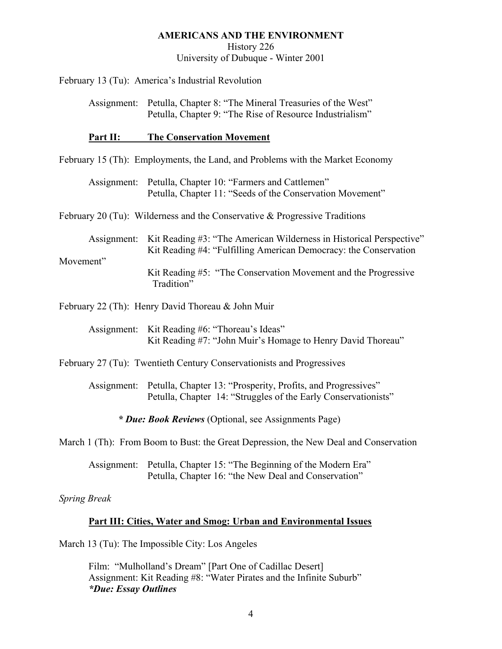History 226

University of Dubuque - Winter 2001

February 13 (Tu): America's Industrial Revolution

 Assignment: Petulla, Chapter 8: "The Mineral Treasuries of the West" Petulla, Chapter 9: "The Rise of Resource Industrialism"

### **Part II: The Conservation Movement**

February 15 (Th): Employments, the Land, and Problems with the Market Economy

 Assignment: Petulla, Chapter 10: "Farmers and Cattlemen" Petulla, Chapter 11: "Seeds of the Conservation Movement"

February 20 (Tu): Wilderness and the Conservative & Progressive Traditions

Assignment: Kit Reading #3: "The American Wilderness in Historical Perspective" Kit Reading #4: "Fulfilling American Democracy: the Conservation

Movement"

Kit Reading #5: "The Conservation Movement and the Progressive Tradition"

February 22 (Th): Henry David Thoreau & John Muir

 Assignment: Kit Reading #6: "Thoreau's Ideas" Kit Reading #7: "John Muir's Homage to Henry David Thoreau"

February 27 (Tu): Twentieth Century Conservationists and Progressives

 Assignment: Petulla, Chapter 13: "Prosperity, Profits, and Progressives" Petulla, Chapter 14: "Struggles of the Early Conservationists"

*\* Due: Book Reviews* (Optional, see Assignments Page)

March 1 (Th): From Boom to Bust: the Great Depression, the New Deal and Conservation

 Assignment: Petulla, Chapter 15: "The Beginning of the Modern Era" Petulla, Chapter 16: "the New Deal and Conservation"

*Spring Break* 

## **Part III: Cities, Water and Smog: Urban and Environmental Issues**

March 13 (Tu): The Impossible City: Los Angeles

 Film: "Mulholland's Dream" [Part One of Cadillac Desert] Assignment: Kit Reading #8: "Water Pirates and the Infinite Suburb" *\*Due: Essay Outlines*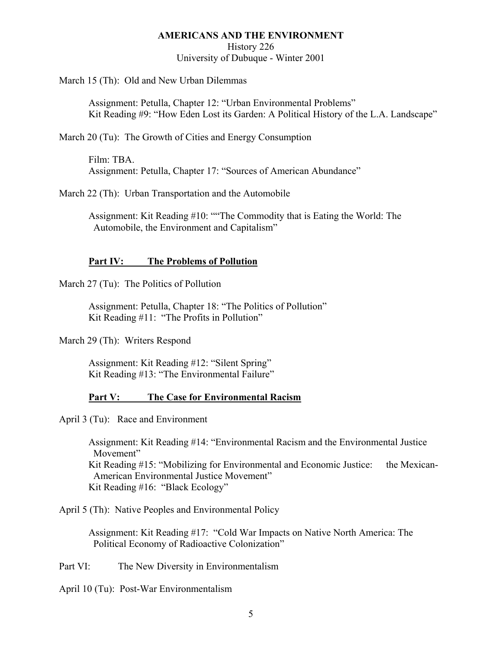History 226

University of Dubuque - Winter 2001

March 15 (Th): Old and New Urban Dilemmas

 Assignment: Petulla, Chapter 12: "Urban Environmental Problems" Kit Reading #9: "How Eden Lost its Garden: A Political History of the L.A. Landscape"

March 20 (Tu): The Growth of Cities and Energy Consumption

 Film: TBA. Assignment: Petulla, Chapter 17: "Sources of American Abundance"

March 22 (Th): Urban Transportation and the Automobile

 Assignment: Kit Reading #10: ""The Commodity that is Eating the World: The Automobile, the Environment and Capitalism"

### **Part IV: The Problems of Pollution**

March 27 (Tu): The Politics of Pollution

 Assignment: Petulla, Chapter 18: "The Politics of Pollution" Kit Reading #11: "The Profits in Pollution"

March 29 (Th): Writers Respond

 Assignment: Kit Reading #12: "Silent Spring" Kit Reading #13: "The Environmental Failure"

# **Part V: The Case for Environmental Racism**

April 3 (Tu): Race and Environment

 Assignment: Kit Reading #14: "Environmental Racism and the Environmental Justice Movement" Kit Reading #15: "Mobilizing for Environmental and Economic Justice: the Mexican- American Environmental Justice Movement" Kit Reading #16: "Black Ecology"

April 5 (Th): Native Peoples and Environmental Policy

 Assignment: Kit Reading #17: "Cold War Impacts on Native North America: The Political Economy of Radioactive Colonization"

Part VI: The New Diversity in Environmentalism

April 10 (Tu): Post-War Environmentalism